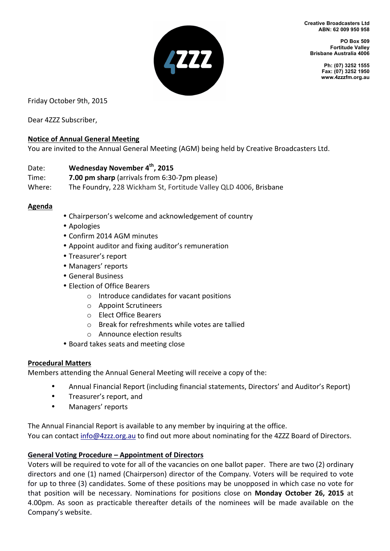**Creative Broadcasters Ltd ABN: 62 009 950 958** 



**PO Box 509 Fortitude Valley Brisbane Australia 4006** 

> **Ph: (07) 3252 1555 Fax: (07) 3252 1950 www.4zzzfm.org.au**

Friday October 9th, 2015

Dear 4ZZZ Subscriber,

# **Notice of Annual General Meeting**

You are invited to the Annual General Meeting (AGM) being held by Creative Broadcasters Ltd.

# Date: **Wednesday November 4<sup>th</sup>, 2015**

- **Time: 7.00 pm sharp** (arrivals from 6:30-7pm please)
- Where: The Foundry, 228 Wickham St, Fortitude Valley QLD 4006, Brisbane

#### **Agenda**

- Chairperson's welcome and acknowledgement of country
- Apologies
- Confirm 2014 AGM minutes
- Appoint auditor and fixing auditor's remuneration
- Treasurer's report
- Managers' reports
- General Business
- Election of Office Bearers
	- $\circ$  Introduce candidates for vacant positions
	- $\circ$  Appoint Scrutineers
	- o Elect Office Bearers
	- $\circ$  Break for refreshments while votes are tallied
	- $\circ$  Announce election results
- Board takes seats and meeting close

#### **Procedural Matters**

Members attending the Annual General Meeting will receive a copy of the:

- Annual Financial Report (including financial statements, Directors' and Auditor's Report)
- Treasurer's report, and
- Managers' reports

The Annual Financial Report is available to any member by inquiring at the office. You can contact info@4zzz.org.au to find out more about nominating for the 4ZZZ Board of Directors.

# General Voting Procedure – Appointment of Directors

Voters will be required to vote for all of the vacancies on one ballot paper. There are two (2) ordinary directors and one (1) named (Chairperson) director of the Company. Voters will be required to vote for up to three (3) candidates. Some of these positions may be unopposed in which case no vote for that position will be necessary. Nominations for positions close on **Monday October 26, 2015** at 4.00pm. As soon as practicable thereafter details of the nominees will be made available on the Company's website.